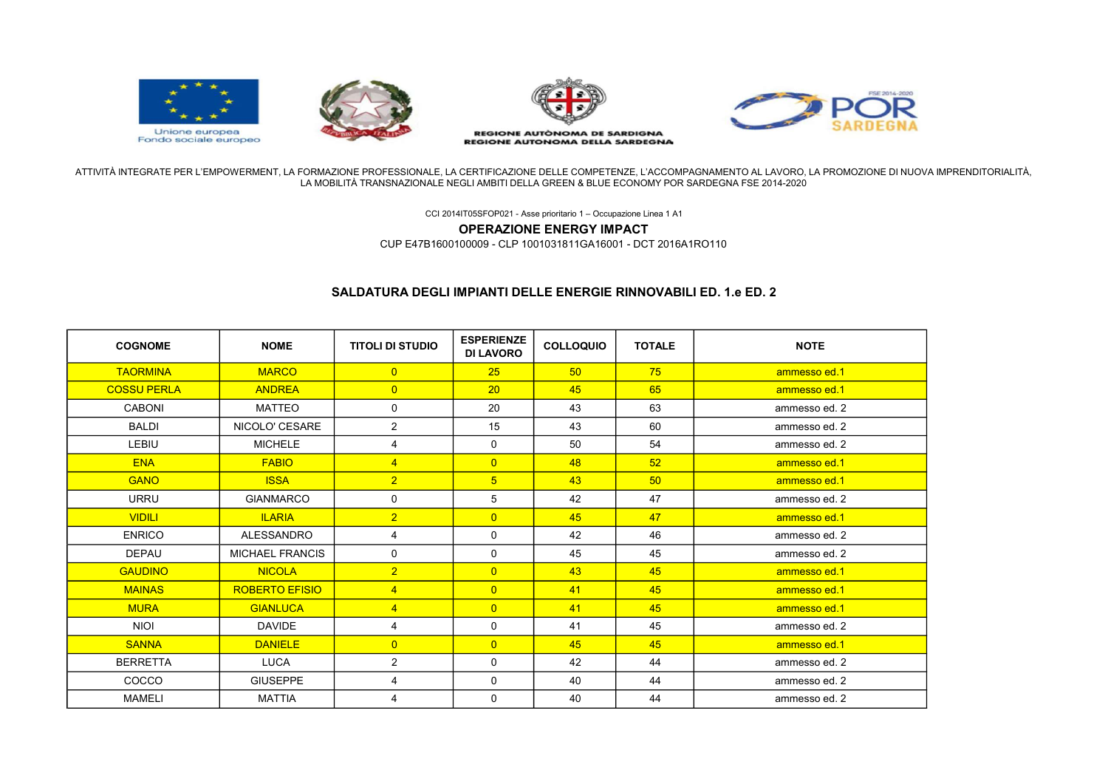

ATTIVITÀ INTEGRATE PER L'EMPOWERMENT, LA FORMAZIONE PROFESSIONALE, LA CERTIFICAZIONE DELLE COMPETENZE, L'ACCOMPAGNAMENTO AL LAVORO, LA PROMOZIONE DI NUOVA IMPRENDITORIALITÀ, LA MOBILITÀ TRANSNAZIONALE NEGLI AMBITI DELLA GREEN & BLUE ECONOMY POR SARDEGNA FSE 2014-2020

CCI 2014IT05SFOP021 - Asse prioritario 1 – Occupazione Linea 1 A1

OPERAZIONE ENERGY IMPACT

CUP E47B1600100009 - CLP 1001031811GA16001 - DCT 2016A1RO110

## SALDATURA DEGLI IMPIANTI DELLE ENERGIE RINNOVABILI ED. 1.e ED. 2

| <b>COGNOME</b>     | <b>NOME</b>            | <b>TITOLI DI STUDIO</b> | <b>ESPERIENZE</b><br><b>DI LAVORO</b> | <b>COLLOQUIO</b> | <b>TOTALE</b> | <b>NOTE</b>   |
|--------------------|------------------------|-------------------------|---------------------------------------|------------------|---------------|---------------|
| <b>TAORMINA</b>    | <b>MARCO</b>           | $\overline{0}$          | 25                                    | 50               | 75            | ammesso ed.1  |
| <b>COSSU PERLA</b> | <b>ANDREA</b>          | $\overline{0}$          | 20                                    | 45               | 65            | ammesso ed.1  |
| <b>CABONI</b>      | <b>MATTEO</b>          | 0                       | 20                                    | 43               | 63            | ammesso ed. 2 |
| <b>BALDI</b>       | NICOLO' CESARE         | $\overline{2}$          | 15                                    | 43               | 60            | ammesso ed. 2 |
| LEBIU              | <b>MICHELE</b>         | 4                       | 0                                     | 50               | 54            | ammesso ed. 2 |
| <b>ENA</b>         | <b>FABIO</b>           | $\overline{4}$          | $\overline{0}$                        | 48               | 52            | ammesso ed.1  |
| <b>GANO</b>        | <b>ISSA</b>            | $\overline{2}$          | 5 <sup>5</sup>                        | 43               | 50            | ammesso ed.1  |
| <b>URRU</b>        | <b>GIANMARCO</b>       | 0                       | 5                                     | 42               | 47            | ammesso ed. 2 |
| <b>VIDILI</b>      | <b>ILARIA</b>          | $\overline{2}$          | $\overline{0}$                        | 45               | 47            | ammesso ed.1  |
| <b>ENRICO</b>      | <b>ALESSANDRO</b>      | 4                       | 0                                     | 42               | 46            | ammesso ed. 2 |
| <b>DEPAU</b>       | <b>MICHAEL FRANCIS</b> | $\mathbf 0$             | $\mathbf 0$                           | 45               | 45            | ammesso ed. 2 |
| <b>GAUDINO</b>     | <b>NICOLA</b>          | $\overline{2}$          | $\overline{0}$                        | 43               | 45            | ammesso ed.1  |
| <b>MAINAS</b>      | <b>ROBERTO EFISIO</b>  | $\overline{4}$          | $\overline{0}$                        | 41               | 45            | ammesso ed.1  |
| <b>MURA</b>        | <b>GIANLUCA</b>        | $\overline{4}$          | $\overline{0}$                        | 41               | 45            | ammesso ed.1  |
| <b>NIOI</b>        | <b>DAVIDE</b>          | 4                       | $\mathbf 0$                           | 41               | 45            | ammesso ed. 2 |
| <b>SANNA</b>       | <b>DANIELE</b>         | $\overline{0}$          | $\overline{0}$                        | 45               | 45            | ammesso ed.1  |
| <b>BERRETTA</b>    | <b>LUCA</b>            | $\overline{2}$          | $\mathbf 0$                           | 42               | 44            | ammesso ed. 2 |
| COCCO              | <b>GIUSEPPE</b>        | 4                       | $\mathbf 0$                           | 40               | 44            | ammesso ed. 2 |
| <b>MAMELI</b>      | <b>MATTIA</b>          | 4                       | 0                                     | 40               | 44            | ammesso ed. 2 |